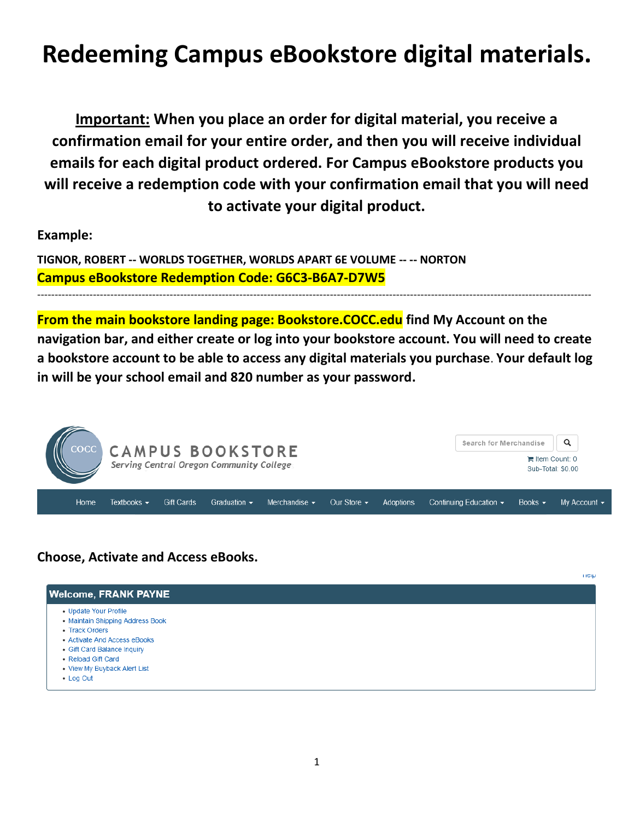# **Redeeming Campus eBookstore digital materials.**

**Important: When you place an order for digital material, you receive a confirmation email for your entire order, and then you will receive individual emails for each digital product ordered. For Campus eBookstore products you will receive a redemption code with your confirmation email that you will need to activate your digital product.**

**Example:** 

**TIGNOR, ROBERT -- WORLDS TOGETHER, WORLDS APART 6E VOLUME -- -- NORTON Campus eBookstore Redemption Code: G6C3-B6A7-D7W5**

**From the main bookstore landing page: Bookstore.COCC.edu find My Account on the navigation bar, and either create or log into your bookstore account. You will need to create a bookstore account to be able to access any digital materials you purchase**. **Your default log in will be your school email and 820 number as your password.**

---------------------------------------------------------------------------------------------------------------------------------------------------------------



#### **Choose, Activate and Access eBooks.**

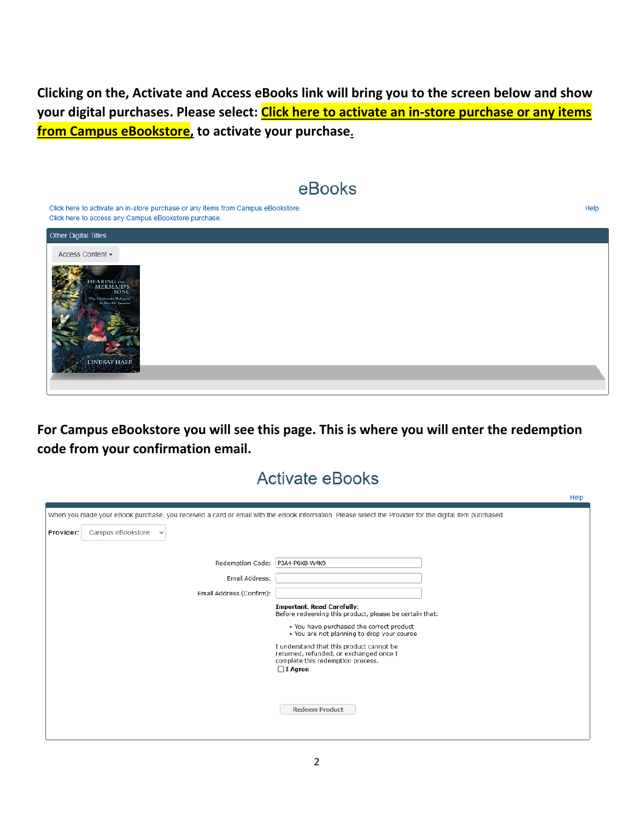**Clicking on the, Activate and Access eBooks link will bring you to the screen below and show your digital purchases. Please select: Click here to activate an in-store purchase or any items from Campus eBookstore, to activate your purchase.**

### eBooks



**For Campus eBookstore you will see this page. This is where you will enter the redemption code from your confirmation email.**

### **Activate eBooks**

Help

|                                                | When you made your eBook purchase, you received a card or email with the eBook information. Please select the Provider for the digital item purchased. |
|------------------------------------------------|--------------------------------------------------------------------------------------------------------------------------------------------------------|
| Campus eBookstore<br>Provider:<br>$\checkmark$ |                                                                                                                                                        |
| Redemption Code:   P3A4-P6X8-W4K9              |                                                                                                                                                        |
| Email Address:                                 |                                                                                                                                                        |
| Email Address (Confirm):                       |                                                                                                                                                        |
|                                                | <b>Important, Read Carefully:</b><br>Before redeeming this product, please be certain that:                                                            |
|                                                | . You have purchased the correct product<br>. You are not planning to drop your course                                                                 |
|                                                | I understand that this product cannot be<br>returned, refunded, or exchanged once I<br>complete this redemption process.<br>$\Box$ I Agree             |
|                                                | <b>Redeem Product</b>                                                                                                                                  |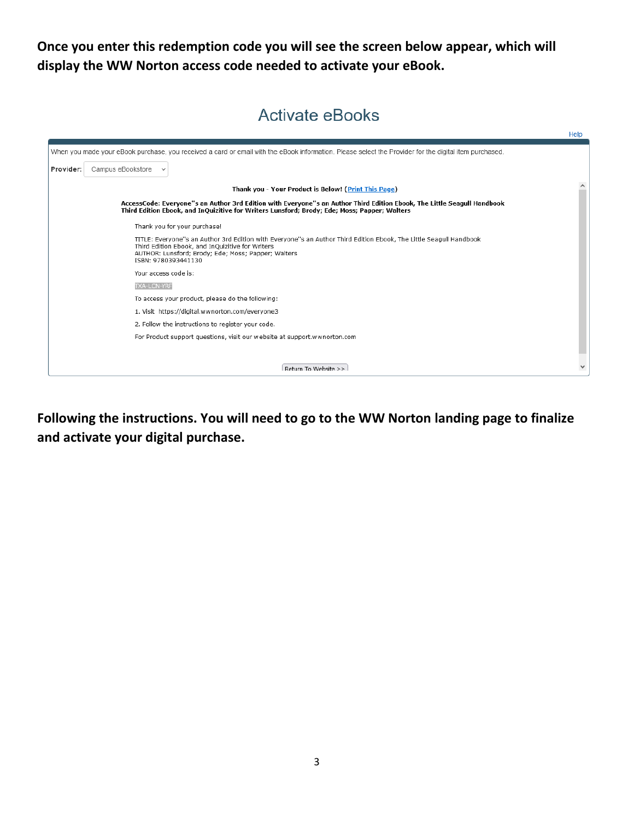**Once you enter this redemption code you will see the screen below appear, which will display the WW Norton access code needed to activate your eBook.**

|           | <b>Activate eBooks</b>                                                                                                                                                                                                                               |      |
|-----------|------------------------------------------------------------------------------------------------------------------------------------------------------------------------------------------------------------------------------------------------------|------|
|           |                                                                                                                                                                                                                                                      | Help |
|           | When you made your eBook purchase, you received a card or email with the eBook information. Please select the Provider for the digital item purchased.                                                                                               |      |
| Provider: | Campus eBookstore<br>$\checkmark$                                                                                                                                                                                                                    |      |
|           | Thank you - Your Product is Below! (Print This Page)                                                                                                                                                                                                 |      |
|           | AccessCode: Everyone"s an Author 3rd Edition with Everyone"s an Author Third Edition Ebook, The Little Seagull Handbook<br>Third Edition Ebook, and InQuizitive for Writers Lunsford; Brody; Ede; Moss; Papper; Walters                              |      |
|           | Thank you for your purchase!                                                                                                                                                                                                                         |      |
|           | TITLE: Everyone"s an Author 3rd Edition with Everyone"s an Author Third Edition Ebook, The Little Seagull Handbook<br>Third Edition Ebook, and InQuizitive for Writers<br>AUTHOR: Lunsford; Brody; Ede; Moss; Papper; Walters<br>ISBN: 9780393441130 |      |
|           | Your access code is:                                                                                                                                                                                                                                 |      |
|           | <b>TXA-LCN-YRF</b>                                                                                                                                                                                                                                   |      |
|           | To access your product, please do the following:                                                                                                                                                                                                     |      |
|           | 1. Visit https://digital.wwnorton.com/everyone3                                                                                                                                                                                                      |      |
|           | 2. Follow the instructions to register your code.                                                                                                                                                                                                    |      |
|           | For Product support questions, visit our website at support.wwnorton.com                                                                                                                                                                             |      |
|           |                                                                                                                                                                                                                                                      |      |
|           | Return To Website >>                                                                                                                                                                                                                                 |      |

**Following the instructions. You will need to go to the WW Norton landing page to finalize and activate your digital purchase.**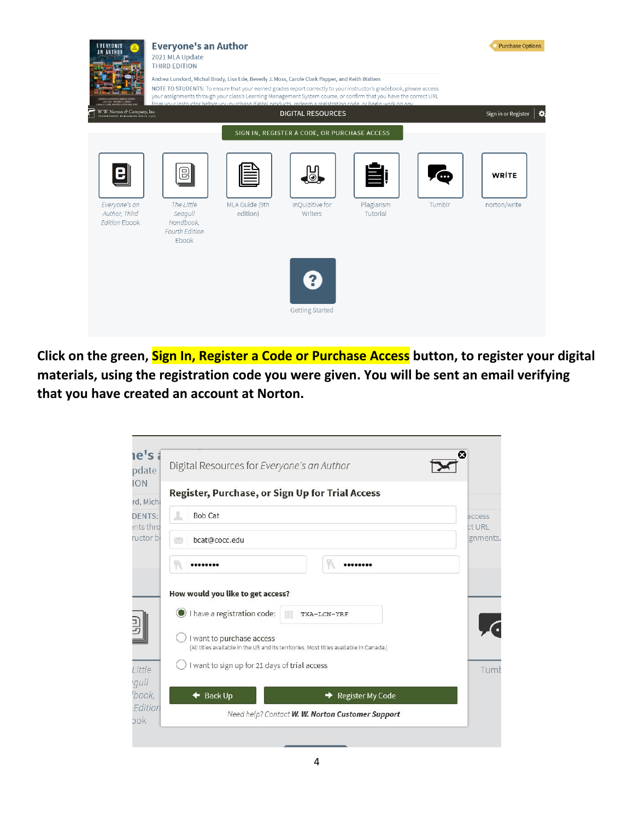| EVERYONES<br><b>AN AUTHOR</b><br><b>ICHAL EROD</b><br>LISA EDE - BEVERLY J. MOSS<br>CAROLE CLARK PAPPER - KEITH WALTER<br>W. W. Norton & Company, Inc.<br>INDEPENDENT PUBLISHERS SINCE 1923 | <b>Everyone's an Author</b><br>2021 MLA Update<br>THIRD EDITION<br>Andrea Lunsford, Michal Brody, Lisa Ede, Beverly J. Moss, Carole Clark Papper, and Keith Walters<br>NOTE TO STUDENTS: To ensure that your earned grades report correctly to your instructor's gradebook, please access<br>your assignments through your class's Learning Management System course, or confirm that you have the correct URL<br>from your instructor before you purchase digital products, redeem a registration code, or begin work on any |                            | <b>DIGITAL RESOURCES</b>                          |                        |        | <b>Purchase Options</b><br>Sign in or Register<br>$\ddot{\mathbf{Q}}$ |
|---------------------------------------------------------------------------------------------------------------------------------------------------------------------------------------------|-------------------------------------------------------------------------------------------------------------------------------------------------------------------------------------------------------------------------------------------------------------------------------------------------------------------------------------------------------------------------------------------------------------------------------------------------------------------------------------------------------------------------------|----------------------------|---------------------------------------------------|------------------------|--------|-----------------------------------------------------------------------|
|                                                                                                                                                                                             |                                                                                                                                                                                                                                                                                                                                                                                                                                                                                                                               |                            | SIGN IN, REGISTER A CODE, OR PURCHASE ACCESS      |                        |        |                                                                       |
| Everyone's an<br>Author, Third<br><b>Edition Ebook</b>                                                                                                                                      | o<br>ᆷ<br>The Little<br>Seagull<br>Handbook,<br>Fourth Edition<br>Ebook                                                                                                                                                                                                                                                                                                                                                                                                                                                       | MLA Guide (9th<br>edition) | InQuizitive for<br>Writers                        | Plagiarism<br>Tutorial | Tumblr | <b>WRITE</b><br>norton/write                                          |
|                                                                                                                                                                                             |                                                                                                                                                                                                                                                                                                                                                                                                                                                                                                                               |                            | $\overline{\mathbf{?}}$<br><b>Getting Started</b> |                        |        |                                                                       |

**Click on the green, Sign In, Register a Code or Purchase Access button, to register your digital materials, using the registration code you were given. You will be sent an email verifying that you have created an account at Norton.**

| ee's<br>pdate              | Digital Resources for Everyone's an Author                                                                                                                                                             |                  |
|----------------------------|--------------------------------------------------------------------------------------------------------------------------------------------------------------------------------------------------------|------------------|
| <b>ION</b><br>rd, Michi    | Register, Purchase, or Sign Up for Trial Access                                                                                                                                                        |                  |
| <b>DENTS:</b><br>ents thro | л<br><b>Bob Cat</b>                                                                                                                                                                                    | access<br>ct URL |
| ructor bi                  | bcat@cocc.edu<br>$\sim$                                                                                                                                                                                | gnments          |
|                            |                                                                                                                                                                                                        |                  |
|                            |                                                                                                                                                                                                        |                  |
|                            | How would you like to get access?<br>I have a registration code:<br>TXA-LCN-YRF<br>I want to purchase access<br>(All titles available in the US and its territories. Most titles available in Canada.) |                  |
| Little<br>gull<br>book,    | I want to sign up for 21 days of trial access<br>← Back Up<br>Register My Code                                                                                                                         | Tum              |